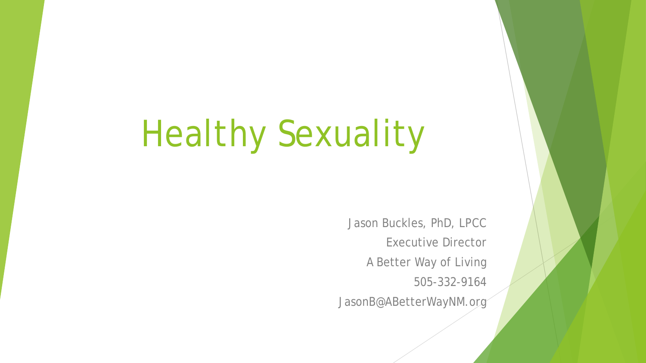# Healthy Sexuality

Jason Buckles, PhD, LPCC Executive Director A Better Way of Living 505-332-9164 JasonB@ABetterWayNM.org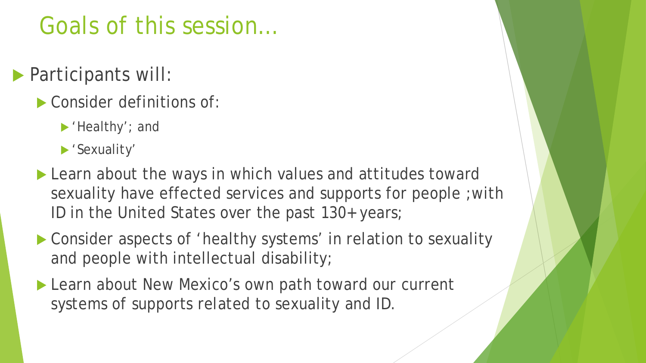## Goals of this session…

- **Participants will:** 
	- Consider definitions of:
		- 'Healthy'; and
		- 'Sexuality'
	- ▶ Learn about the ways in which values and attitudes toward sexuality have effected services and supports for people ;with ID in the United States over the past 130+ years;
	- ▶ Consider aspects of 'healthy systems' in relation to sexuality and people with intellectual disability;
	- Learn about New Mexico's own path toward our current systems of supports related to sexuality and ID.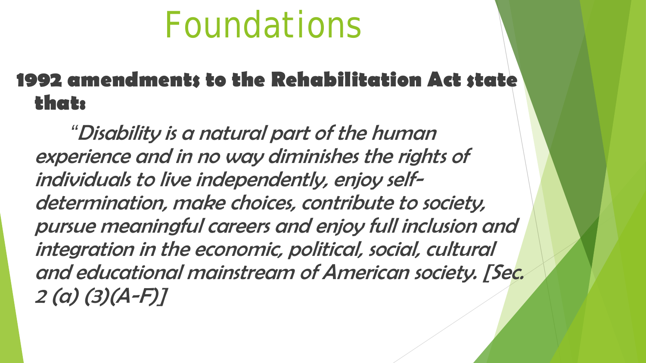#### **1992 amendments to the Rehabilitation Act state that:**

*"*Disability is a natural part of the human experience and in no way diminishes the rights of individuals to live independently, enjoy selfdetermination, make choices, contribute to society, pursue meaningful careers and enjoy full inclusion and integration in the economic, political, social, cultural and educational mainstream of American society. [Sec. 2 (a) (3)(A-F)]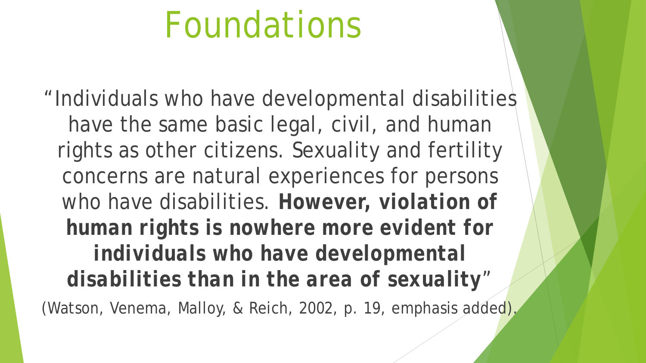"Individuals who have developmental disabilities have the same basic legal, civil, and human rights as other citizens. Sexuality and fertility concerns are natural experiences for persons who have disabilities. *However, violation of human rights is nowhere more evident for individuals who have developmental disabilities than in the area of sexuality*" (Watson, Venema, Malloy, & Reich, 2002, p. 19, emphasis added).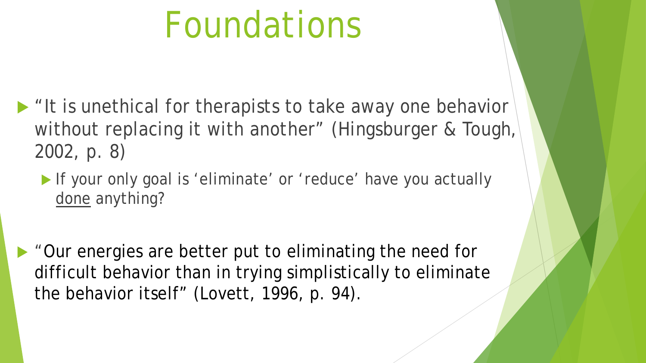- If it is unethical for therapists to take away one behavior without replacing it with another" (Hingsburger & Tough, 2002, p. 8)
	- If your only goal is 'eliminate' or 'reduce' have you actually *done* anything?
- "Our energies are better put to eliminating the *need* for difficult behavior than in trying simplistically to eliminate the behavior itself" (Lovett, 1996, p. 94).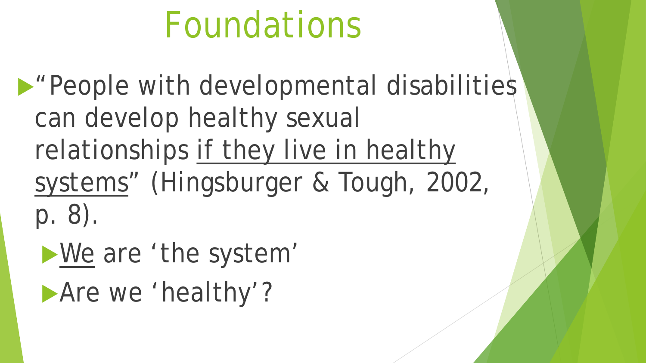**Prople with developmental disabilities** can develop healthy sexual relationships if they live in healthy systems" (Hingsburger & Tough, 2002, p. 8).

*We* are 'the system'

Are we 'healthy'?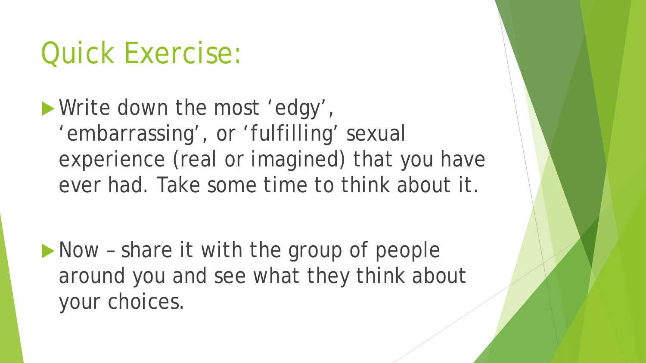# Quick Exercise:

Write down the most 'edgy', 'embarrassing', or 'fulfilling' sexual experience (real or imagined) that you have ever had. Take some time to think about it.

Now - share it with the group of people around you and see what they think about your choices.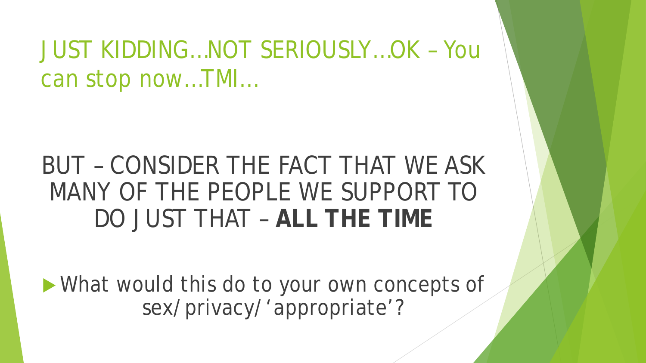JUST KIDDING…NOT SERIOUSLY…OK – You can stop now…TMI…

## BUT – CONSIDER THE FACT THAT WE ASK MANY OF THE PEOPLE WE SUPPORT TO DO JUST THAT – **ALL THE TIME**

 What would this do to your own concepts of sex/privacy/'appropriate'?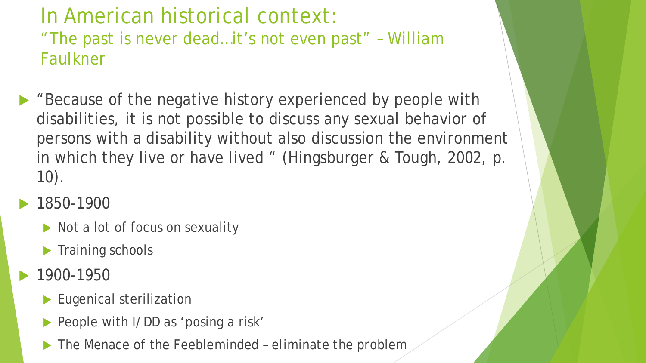#### In American historical context: "The past is never dead…it's not even past" – William Faulkner

- ▶ "Because of the negative history experienced by people with disabilities, it is not possible to discuss any sexual behavior of persons with a disability without also discussion the environment in which they live or have lived " (Hingsburger & Tough, 2002, p. 10).
- 1850-1900
	- Not a lot of focus on sexuality
	- $\blacktriangleright$  Training schools
- 1900-1950
	- Eugenical sterilization
	- People with I/DD as 'posing a risk'
	- The Menace of the Feebleminded eliminate the problem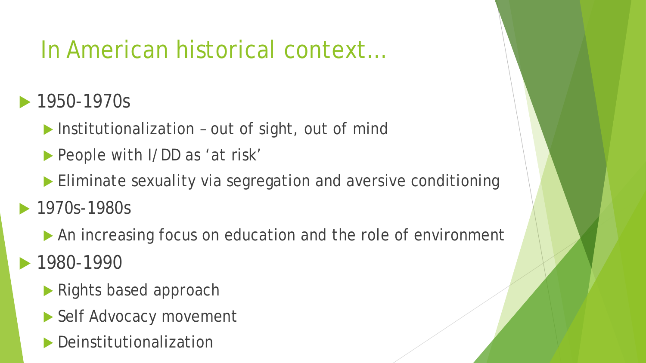## In American historical context…

#### **1950-1970s**

- $\blacktriangleright$  Institutionalization out of sight, out of mind
- People with I/DD as 'at risk'
- Eliminate sexuality via segregation and aversive conditioning
- 1970s-1980s
	- An increasing focus on education and the role of environment
- 1980-1990
	- ▶ Rights based approach
	- ▶ Self Advocacy movement
	- **Deinstitutionalization**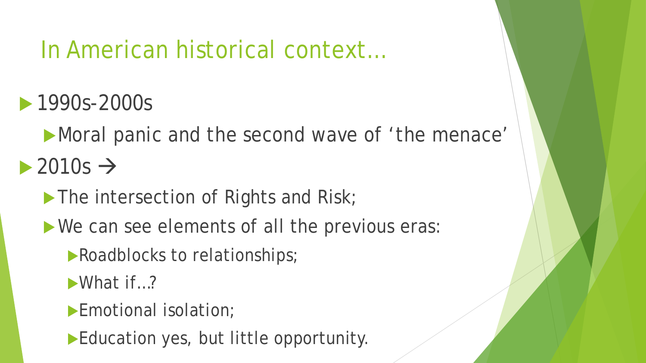### In American historical context…

- **1990s-2000s** 
	- Moral panic and the second wave of 'the menace'
- $\rightarrow$  2010s  $\rightarrow$ 
	- The intersection of Rights and Risk;
	- We can see elements of all the previous eras:
		- **Roadblocks to relationships;**
		- What if...?
		- Emotional isolation;
		- Education yes, but little opportunity.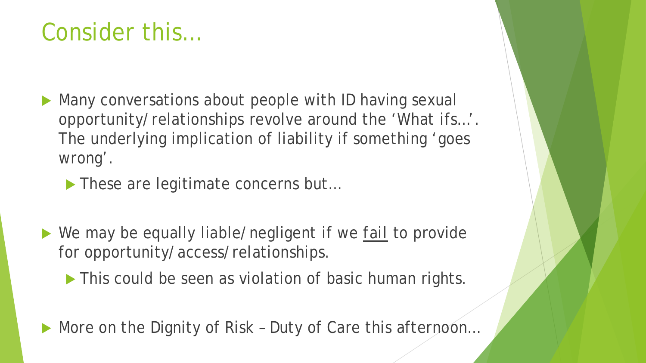### Consider this…

- Many conversations about people with ID having sexual opportunity/relationships revolve around the 'What ifs…'. The underlying implication of liability if something 'goes wrong'.
	- ▶ These are legitimate concerns but...
- We may be equally liable/negligent if we *fail* to provide for opportunity/access/relationships.
	- This could be seen as violation of basic human rights.
- ▶ More on the Dignity of Risk Duty of Care this afternoon...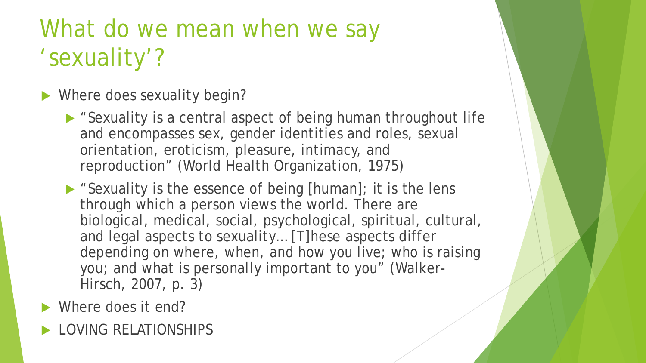## What do we mean when we say 'sexuality'?

- Where does sexuality begin?
	- ▶ "Sexuality is a central aspect of being human throughout life and encompasses sex, gender identities and roles, sexual orientation, eroticism, pleasure, intimacy, and reproduction" (World Health Organization, 1975)
	- ▶ "Sexuality is the essence of being [human]; it is the lens through which a person views the world. There are biological, medical, social, psychological, spiritual, cultural, and legal aspects to sexuality… [T]hese aspects differ depending on where, when, and how you live; who is raising you; and what is personally important to you" (Walker-Hirsch, 2007, p. 3)
- Where does it end?
- LOVING RELATIONSHIPS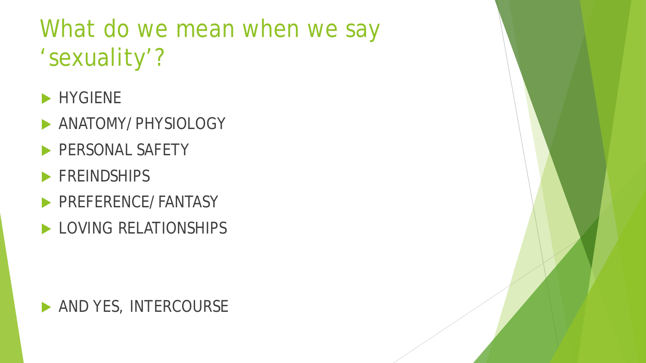# What do we mean when we say 'sexuality'?

- **HYGIENE**
- **ANATOMY/PHYSIOLOGY**
- PERSONAL SAFETY
- **FREINDSHIPS**
- PREFERENCE/FANTASY
- LOVING RELATIONSHIPS

#### **AND YES, INTERCOURSE**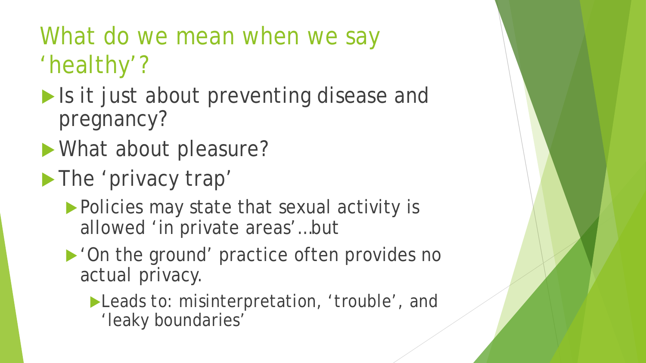# What do we mean when we say 'healthy'?

- Is it *just* about preventing disease and pregnancy?
- **Nhat about pleasure?**
- The 'privacy trap'
	- Policies may state that sexual activity is allowed 'in private areas'…but
	- ▶ 'On the ground' practice often provides no *actual* privacy.
		- Leads to: misinterpretation, 'trouble', and 'leaky boundaries'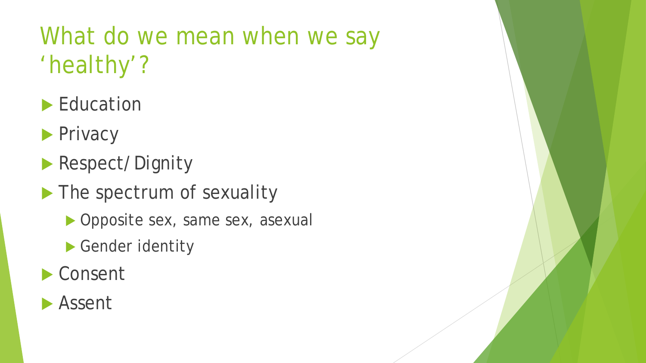# What do we mean when we say 'healthy'?

- **Education**
- **Privacy**
- **Respect/Dignity**
- The spectrum of sexuality
	- Opposite sex, same sex, asexual
	- Gender identity
- ▶ Consent

#### **Assent**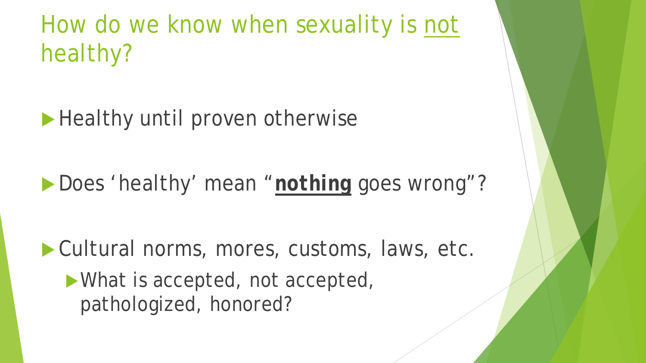How do we know when sexuality is not healthy?

Healthy until proven otherwise

**Does 'healthy' mean "***nothing* goes wrong"?

Cultural norms, mores, customs, laws, etc.

What is accepted, not accepted, pathologized, honored?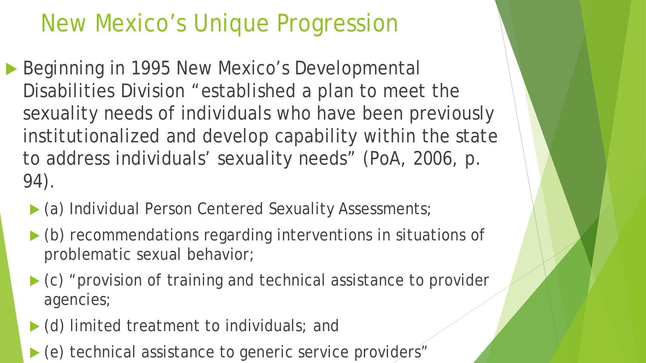## New Mexico's Unique Progression

- Beginning in 1995 New Mexico's Developmental Disabilities Division "established a plan to meet the sexuality needs of individuals who have been previously institutionalized and develop capability within the state to address individuals' sexuality needs" (PoA, 2006, p. 94).
	- (a) Individual Person Centered Sexuality Assessments;
	- (b) recommendations regarding interventions in situations of problematic sexual behavior;
	- $\triangleright$  (c) "provision of training and technical assistance to provider agencies;
	- $\blacktriangleright$  (d) limited treatment to individuals; and
	- ▶ (e) technical assistance to generic service providers"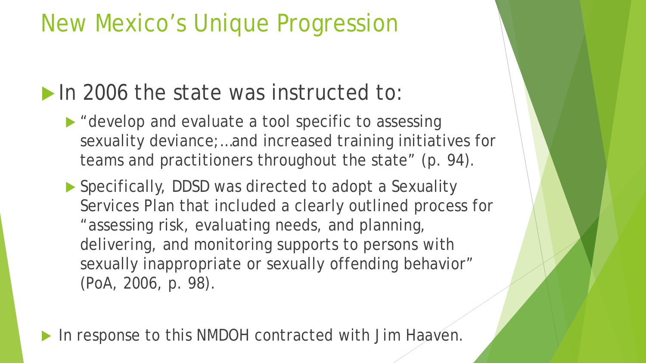## New Mexico's Unique Progression

#### In 2006 the state was instructed to:

representative a tool specific to assessing sexuality deviance;…and increased training initiatives for teams and practitioners throughout the state" (p. 94).

▶ Specifically, DDSD was directed to adopt a Sexuality Services Plan that included a clearly outlined process for "assessing risk, evaluating needs, and planning, delivering, and monitoring supports to persons with sexually inappropriate or sexually offending behavior" (PoA, 2006, p. 98).

In response to this NMDOH contracted with Jim Haaven.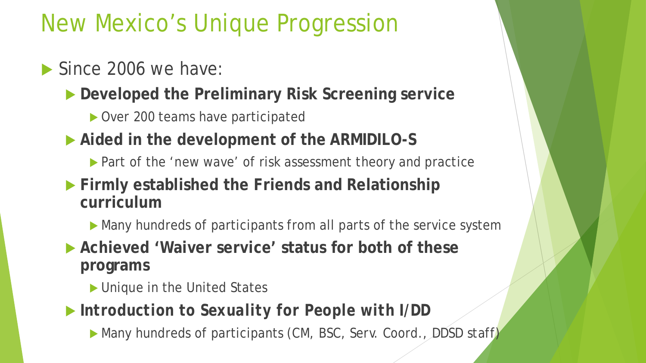## New Mexico's Unique Progression

#### Since 2006 we have:

- **Developed the Preliminary Risk Screening service**
	- Over 200 teams have participated
- **Aided in the development of the ARMIDILO-S**
	- ▶ Part of the 'new wave' of risk assessment theory and practice
- **Firmly established the Friends and Relationship curriculum**
	- Many hundreds of participants from all parts of the service system
- **Achieved 'Waiver service' status for both of these programs**
	- ▶ Unique in the United States
- *Introduction to Sexuality for People with I/DD*
	- Many hundreds of participants (CM, BSC, Serv. Coord., DDSD staff)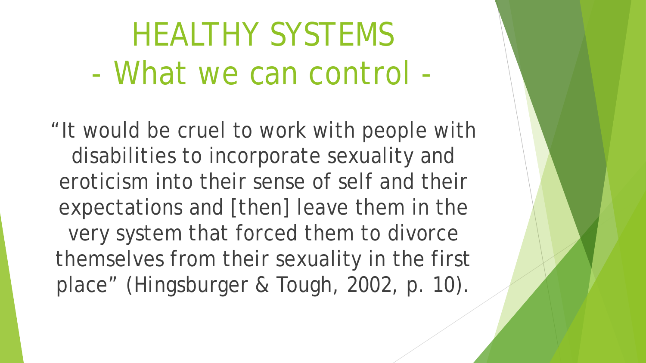# HEALTHY SYSTEMS - What we *can* control -

"It would be cruel to work with people with disabilities to incorporate sexuality and eroticism into their sense of self and their expectations and [then] leave them in the very system that forced them to divorce themselves from their sexuality in the first place" (Hingsburger & Tough, 2002, p. 10).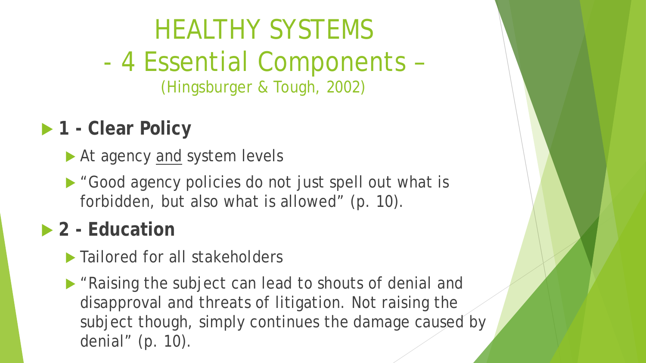# HEALTHY SYSTEMS - 4 Essential Components –

(Hingsburger & Tough, 2002)

### **1 - Clear Policy**

- At agency and system levels
- ▶ "Good agency policies do not just spell out what is forbidden, but also what is allowed" (p. 10).

#### **2 - Education**

- ▶ Tailored for all stakeholders
- ▶ "Raising the subject can lead to shouts of denial and disapproval and threats of litigation. Not raising the subject though, simply continues the damage caused by denial" (p. 10).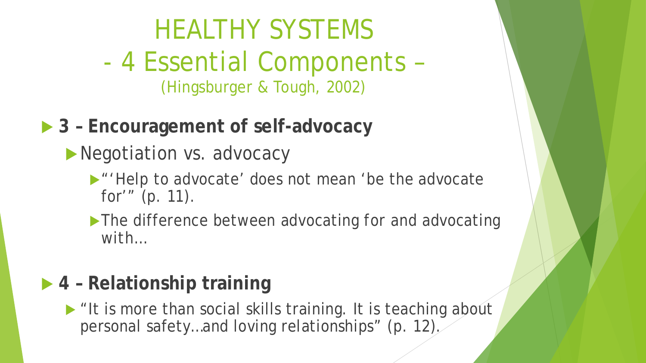# HEALTHY SYSTEMS

- 4 Essential Components (Hingsburger & Tough, 2002)
- **▶ 3 Encouragement of self-advocacy** 
	- Negotiation vs. advocacy
		- **M** "Help to advocate' does not mean 'be the advocate' for'" (p. 11).
		- The difference between advocating *for* and advocating *with…*

#### **4 – Relationship training**

 $\blacktriangleright$  "It is more than social skills training. It is teaching about personal safety…and loving relationships" (p. 12).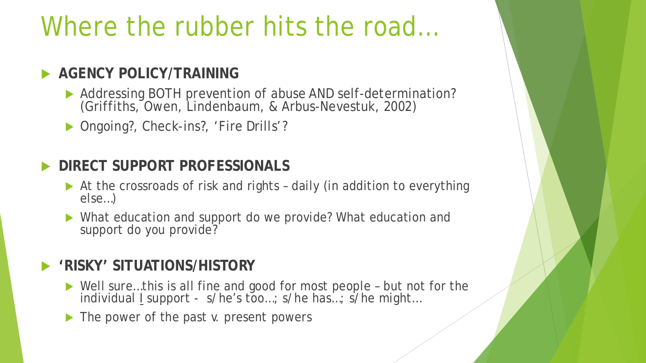# Where the rubber hits the road...

#### **AGENCY POLICY/TRAINING**

- Addressing BOTH prevention of abuse AND self-determination? (Griffiths, Owen, Lindenbaum, & Arbus-Nevestuk, 2002)
- ▶ Ongoing?, Check-ins?, 'Fire Drills'?

```
 DIRECT SUPPORT PROFESSIONALS
```
- At the crossroads of risk and rights daily (in addition to everything else...)
- What education and support do we provide? What education and support do *you* provide?

#### **'RISKY' SITUATIONS/HISTORY**

- ▶ Well sure...this is all fine and good for most people but not for the individual I support - s/he's too...; s/he has...; s/he might...
- ▶ The power of the past v. present powers